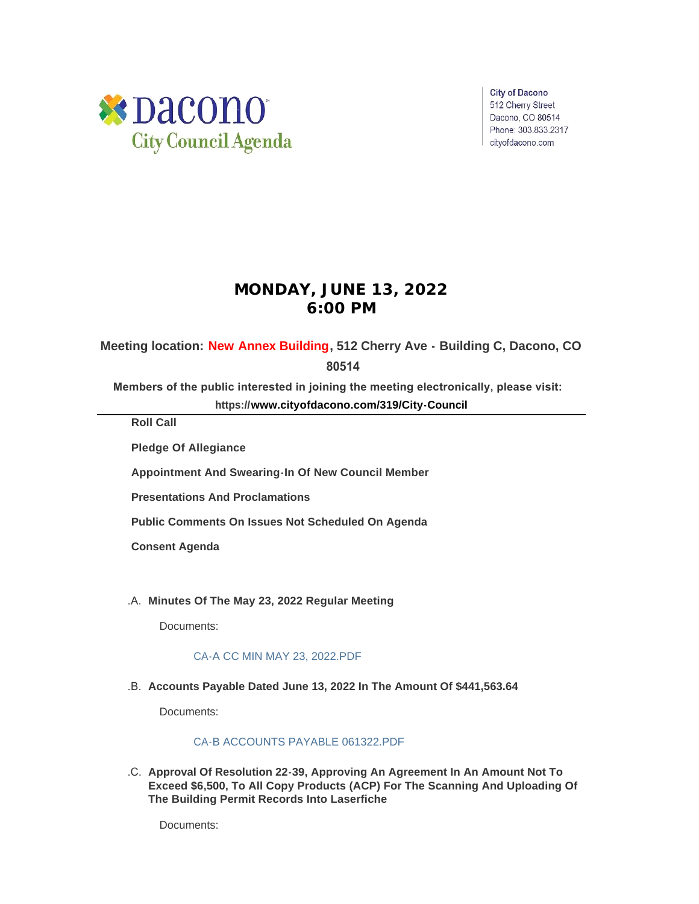

**City of Dacono** 512 Cherry Street Dacono, CO 80514 Phone: 303.833.2317 cityofdacono.com

# **MONDAY, JUNE 13, 2022 6:00 PM**

## **Meeting location: New Annex Building, 512 Cherry Ave - Building C, Dacono, CO**

## **80514**

**Members of the public interested in joining the meeting electronically, please visit:** 

**https://[www.cityofdacono.com/319/City-Council](http://www.cityofdacono.com/319/City-Council)**

**Roll Call**

**Pledge Of Allegiance** 

**Appointment And Swearing-In Of New Council Member**

**Presentations And Proclamations**

**Public Comments On Issues Not Scheduled On Agenda**

**Consent Agenda**

**Minutes Of The May 23, 2022 Regular Meeting** .A.

Documents:

## [CA-A CC MIN MAY 23, 2022.PDF](https://www.cityofdacono.com/AgendaCenter/ViewFile/Item/2129?fileID=3013)

**Accounts Payable Dated June 13, 2022 In The Amount Of \$441,563.64** .B.

Documents:

#### [CA-B ACCOUNTS PAYABLE 061322.PDF](https://www.cityofdacono.com/AgendaCenter/ViewFile/Item/2130?fileID=3006)

**Approval Of Resolution 22-39, Approving An Agreement In An Amount Not To**  .C. **Exceed \$6,500, To All Copy Products (ACP) For The Scanning And Uploading Of The Building Permit Records Into Laserfiche**

Documents: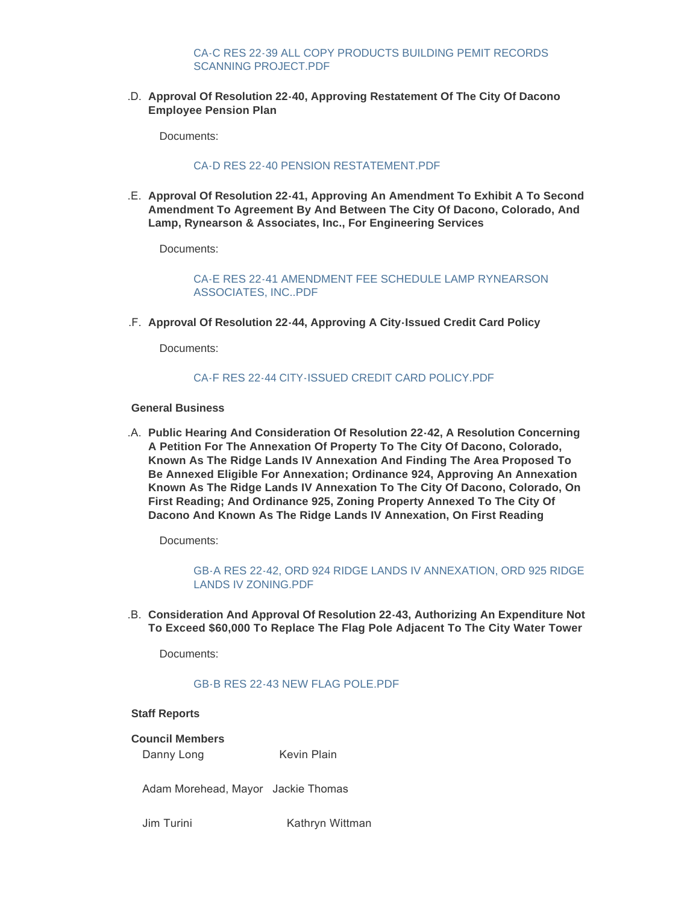#### [CA-C RES 22-39 ALL COPY PRODUCTS BUILDING PEMIT RECORDS](https://www.cityofdacono.com/AgendaCenter/ViewFile/Item/2131?fileID=3007)  SCANNING PROJECT.PDF

**Approval Of Resolution 22-40, Approving Restatement Of The City Of Dacono**  .D. **Employee Pension Plan**

Documents:

### [CA-D RES 22-40 PENSION RESTATEMENT.PDF](https://www.cityofdacono.com/AgendaCenter/ViewFile/Item/2132?fileID=3008)

**Approval Of Resolution 22-41, Approving An Amendment To Exhibit A To Second**  .E. **Amendment To Agreement By And Between The City Of Dacono, Colorado, And Lamp, Rynearson & Associates, Inc., For Engineering Services**

Documents:

[CA-E RES 22-41 AMENDMENT FEE SCHEDULE LAMP RYNEARSON](https://www.cityofdacono.com/AgendaCenter/ViewFile/Item/2133?fileID=3009)  ASSOCIATES, INC..PDF

**Approval Of Resolution 22-44, Approving A City-Issued Credit Card Policy** .F.

Documents:

### CA-F RES 22-44 CITY-ISSUED CREDIT CARD POLICY PDE

#### **General Business**

**Public Hearing And Consideration Of Resolution 22-42, A Resolution Concerning**  .A. **A Petition For The Annexation Of Property To The City Of Dacono, Colorado, Known As The Ridge Lands IV Annexation And Finding The Area Proposed To Be Annexed Eligible For Annexation; Ordinance 924, Approving An Annexation Known As The Ridge Lands IV Annexation To The City Of Dacono, Colorado, On First Reading; And Ordinance 925, Zoning Property Annexed To The City Of Dacono And Known As The Ridge Lands IV Annexation, On First Reading**

Documents:

[GB-A RES 22-42, ORD 924 RIDGE LANDS IV ANNEXATION, ORD 925 RIDGE](https://www.cityofdacono.com/AgendaCenter/ViewFile/Item/2135?fileID=3011)  LANDS IV ZONING.PDF

**Consideration And Approval Of Resolution 22-43, Authorizing An Expenditure Not**  .B. **To Exceed \$60,000 To Replace The Flag Pole Adjacent To The City Water Tower**

Documents:

#### [GB-B RES 22-43 NEW FLAG POLE.PDF](https://www.cityofdacono.com/AgendaCenter/ViewFile/Item/2136?fileID=3012)

#### **Staff Reports**

**Council Members**

Danny Long Kevin Plain

Adam Morehead, Mayor Jackie Thomas

Jim Turini Kathryn Wittman